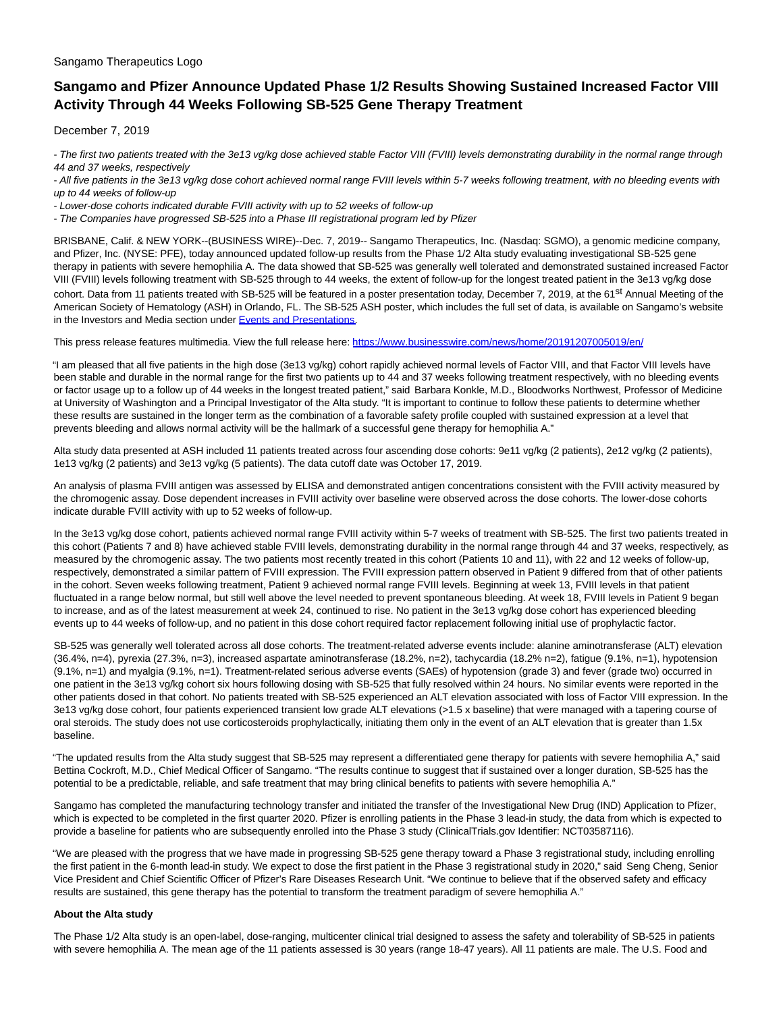## Sangamo Therapeutics Logo

# **Sangamo and Pfizer Announce Updated Phase 1/2 Results Showing Sustained Increased Factor VIII Activity Through 44 Weeks Following SB-525 Gene Therapy Treatment**

December 7, 2019

- The first two patients treated with the 3e13 vg/kg dose achieved stable Factor VIII (FVIII) levels demonstrating durability in the normal range through 44 and 37 weeks, respectively

- All five patients in the 3e13 vg/kg dose cohort achieved normal range FVIII levels within 5-7 weeks following treatment, with no bleeding events with up to 44 weeks of follow-up

- Lower-dose cohorts indicated durable FVIII activity with up to 52 weeks of follow-up

- The Companies have progressed SB-525 into a Phase III registrational program led by Pfizer

BRISBANE, Calif. & NEW YORK--(BUSINESS WIRE)--Dec. 7, 2019-- Sangamo Therapeutics, Inc. (Nasdaq: SGMO), a genomic medicine company, and Pfizer, Inc. (NYSE: PFE), today announced updated follow-up results from the Phase 1/2 Alta study evaluating investigational SB-525 gene therapy in patients with severe hemophilia A. The data showed that SB-525 was generally well tolerated and demonstrated sustained increased Factor VIII (FVIII) levels following treatment with SB-525 through to 44 weeks, the extent of follow-up for the longest treated patient in the 3e13 vg/kg dose cohort. Data from 11 patients treated with SB-525 will be featured in a poster presentation today, December 7, 2019, at the 61<sup>st</sup> Annual Meeting of the American Society of Hematology (ASH) in Orlando, FL. The SB-525 ASH poster, which includes the full set of data, is available on Sangamo's website in the Investors and Media section under [Events and Presentations.](https://cts.businesswire.com/ct/CT?id=smartlink&url=https%3A%2F%2Finvestor.sangamo.com%2Fevents-and-presentations&esheet=52141734&newsitemid=20191207005019&lan=en-US&anchor=Events+and+Presentations&index=1&md5=56e98c82b2c7199e92d70574badebee7)

This press release features multimedia. View the full release here:<https://www.businesswire.com/news/home/20191207005019/en/>

"I am pleased that all five patients in the high dose (3e13 vg/kg) cohort rapidly achieved normal levels of Factor VIII, and that Factor VIII levels have been stable and durable in the normal range for the first two patients up to 44 and 37 weeks following treatment respectively, with no bleeding events or factor usage up to a follow up of 44 weeks in the longest treated patient," said Barbara Konkle, M.D., Bloodworks Northwest, Professor of Medicine at University of Washington and a Principal Investigator of the Alta study. "It is important to continue to follow these patients to determine whether these results are sustained in the longer term as the combination of a favorable safety profile coupled with sustained expression at a level that prevents bleeding and allows normal activity will be the hallmark of a successful gene therapy for hemophilia A."

Alta study data presented at ASH included 11 patients treated across four ascending dose cohorts: 9e11 vg/kg (2 patients), 2e12 vg/kg (2 patients), 1e13 vg/kg (2 patients) and 3e13 vg/kg (5 patients). The data cutoff date was October 17, 2019.

An analysis of plasma FVIII antigen was assessed by ELISA and demonstrated antigen concentrations consistent with the FVIII activity measured by the chromogenic assay. Dose dependent increases in FVIII activity over baseline were observed across the dose cohorts. The lower-dose cohorts indicate durable FVIII activity with up to 52 weeks of follow-up.

In the 3e13 vg/kg dose cohort, patients achieved normal range FVIII activity within 5-7 weeks of treatment with SB-525. The first two patients treated in this cohort (Patients 7 and 8) have achieved stable FVIII levels, demonstrating durability in the normal range through 44 and 37 weeks, respectively, as measured by the chromogenic assay. The two patients most recently treated in this cohort (Patients 10 and 11), with 22 and 12 weeks of follow-up, respectively, demonstrated a similar pattern of FVIII expression. The FVIII expression pattern observed in Patient 9 differed from that of other patients in the cohort. Seven weeks following treatment, Patient 9 achieved normal range FVIII levels. Beginning at week 13, FVIII levels in that patient fluctuated in a range below normal, but still well above the level needed to prevent spontaneous bleeding. At week 18, FVIII levels in Patient 9 began to increase, and as of the latest measurement at week 24, continued to rise. No patient in the 3e13 vg/kg dose cohort has experienced bleeding events up to 44 weeks of follow-up, and no patient in this dose cohort required factor replacement following initial use of prophylactic factor.

SB-525 was generally well tolerated across all dose cohorts. The treatment-related adverse events include: alanine aminotransferase (ALT) elevation (36.4%, n=4), pyrexia (27.3%, n=3), increased aspartate aminotransferase (18.2%, n=2), tachycardia (18.2% n=2), fatigue (9.1%, n=1), hypotension (9.1%, n=1) and myalgia (9.1%, n=1). Treatment-related serious adverse events (SAEs) of hypotension (grade 3) and fever (grade two) occurred in one patient in the 3e13 vg/kg cohort six hours following dosing with SB-525 that fully resolved within 24 hours. No similar events were reported in the other patients dosed in that cohort. No patients treated with SB-525 experienced an ALT elevation associated with loss of Factor VIII expression. In the 3e13 vg/kg dose cohort, four patients experienced transient low grade ALT elevations (>1.5 x baseline) that were managed with a tapering course of oral steroids. The study does not use corticosteroids prophylactically, initiating them only in the event of an ALT elevation that is greater than 1.5x baseline.

"The updated results from the Alta study suggest that SB-525 may represent a differentiated gene therapy for patients with severe hemophilia A," said Bettina Cockroft, M.D., Chief Medical Officer of Sangamo. "The results continue to suggest that if sustained over a longer duration, SB-525 has the potential to be a predictable, reliable, and safe treatment that may bring clinical benefits to patients with severe hemophilia A."

Sangamo has completed the manufacturing technology transfer and initiated the transfer of the Investigational New Drug (IND) Application to Pfizer, which is expected to be completed in the first quarter 2020. Pfizer is enrolling patients in the Phase 3 lead-in study, the data from which is expected to provide a baseline for patients who are subsequently enrolled into the Phase 3 study (ClinicalTrials.gov Identifier: NCT03587116).

"We are pleased with the progress that we have made in progressing SB-525 gene therapy toward a Phase 3 registrational study, including enrolling the first patient in the 6-month lead-in study. We expect to dose the first patient in the Phase 3 registrational study in 2020," said Seng Cheng, Senior Vice President and Chief Scientific Officer of Pfizer's Rare Diseases Research Unit. "We continue to believe that if the observed safety and efficacy results are sustained, this gene therapy has the potential to transform the treatment paradigm of severe hemophilia A."

## **About the Alta study**

The Phase 1/2 Alta study is an open-label, dose-ranging, multicenter clinical trial designed to assess the safety and tolerability of SB-525 in patients with severe hemophilia A. The mean age of the 11 patients assessed is 30 years (range 18-47 years). All 11 patients are male. The U.S. Food and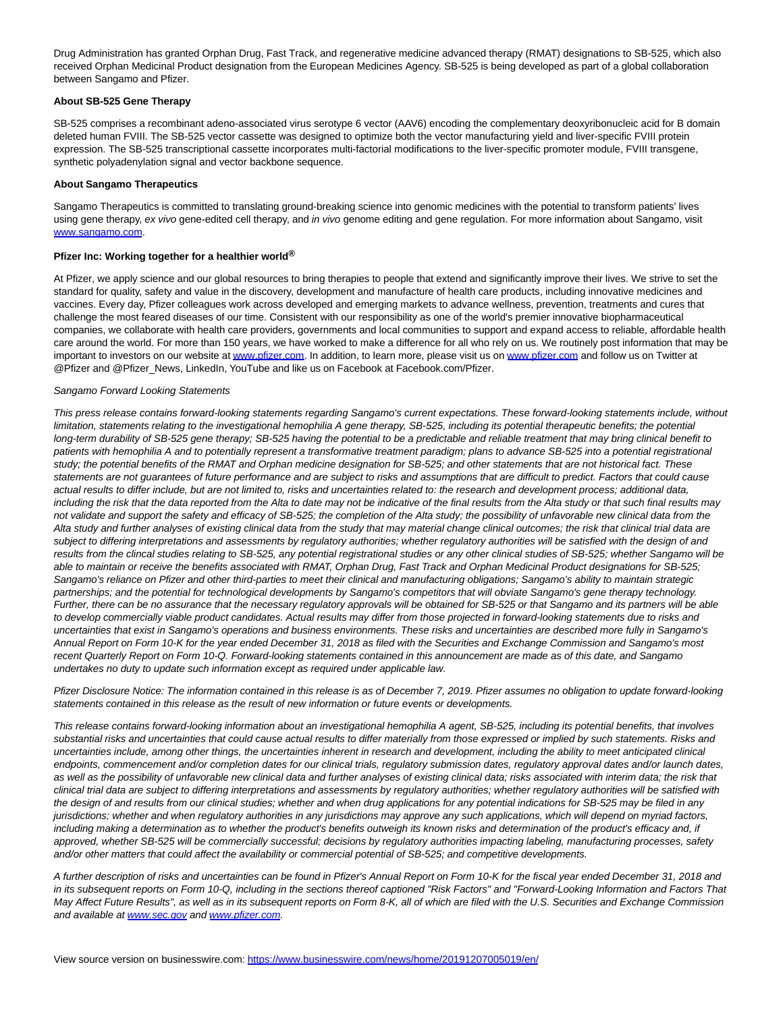Drug Administration has granted Orphan Drug, Fast Track, and regenerative medicine advanced therapy (RMAT) designations to SB-525, which also received Orphan Medicinal Product designation from the European Medicines Agency. SB-525 is being developed as part of a global collaboration between Sangamo and Pfizer.

#### **About SB-525 Gene Therapy**

SB-525 comprises a recombinant adeno-associated virus serotype 6 vector (AAV6) encoding the complementary deoxyribonucleic acid for B domain deleted human FVIII. The SB-525 vector cassette was designed to optimize both the vector manufacturing yield and liver-specific FVIII protein expression. The SB-525 transcriptional cassette incorporates multi-factorial modifications to the liver-specific promoter module, FVIII transgene, synthetic polyadenylation signal and vector backbone sequence.

#### **About Sangamo Therapeutics**

Sangamo Therapeutics is committed to translating ground-breaking science into genomic medicines with the potential to transform patients' lives using gene therapy, ex vivo gene-edited cell therapy, and in vivo genome editing and gene regulation. For more information about Sangamo, visit [www.sangamo.com.](https://cts.businesswire.com/ct/CT?id=smartlink&url=http%3A%2F%2Fwww.sangamo.com&esheet=52141734&newsitemid=20191207005019&lan=en-US&anchor=www.sangamo.com&index=2&md5=a7c6dd23a8c0ead5329a686fad4d4025)

# **Pfizer Inc: Working together for a healthier world®**

At Pfizer, we apply science and our global resources to bring therapies to people that extend and significantly improve their lives. We strive to set the standard for quality, safety and value in the discovery, development and manufacture of health care products, including innovative medicines and vaccines. Every day, Pfizer colleagues work across developed and emerging markets to advance wellness, prevention, treatments and cures that challenge the most feared diseases of our time. Consistent with our responsibility as one of the world's premier innovative biopharmaceutical companies, we collaborate with health care providers, governments and local communities to support and expand access to reliable, affordable health care around the world. For more than 150 years, we have worked to make a difference for all who rely on us. We routinely post information that may be important to investors on our website a[t www.pfizer.com.](https://cts.businesswire.com/ct/CT?id=smartlink&url=http%3A%2F%2Fwww.pfizer.com&esheet=52141734&newsitemid=20191207005019&lan=en-US&anchor=www.pfizer.com&index=3&md5=7460ee78ad6a57f42eb9cce0231c628c) In addition, to learn more, please visit us on [www.pfizer.com a](https://cts.businesswire.com/ct/CT?id=smartlink&url=http%3A%2F%2Fwww.pfizer.com&esheet=52141734&newsitemid=20191207005019&lan=en-US&anchor=www.pfizer.com&index=4&md5=e343a367ad8cde97153e3d894a09b9c7)nd follow us on Twitter at @Pfizer and @Pfizer\_News, LinkedIn, YouTube and like us on Facebook at Facebook.com/Pfizer.

#### Sangamo Forward Looking Statements

This press release contains forward-looking statements regarding Sangamo's current expectations. These forward-looking statements include, without limitation, statements relating to the investigational hemophilia A gene therapy, SB-525, including its potential therapeutic benefits; the potential long-term durability of SB-525 gene therapy; SB-525 having the potential to be a predictable and reliable treatment that may bring clinical benefit to patients with hemophilia A and to potentially represent a transformative treatment paradigm; plans to advance SB-525 into a potential registrational study; the potential benefits of the RMAT and Orphan medicine designation for SB-525; and other statements that are not historical fact. These statements are not guarantees of future performance and are subject to risks and assumptions that are difficult to predict. Factors that could cause actual results to differ include, but are not limited to, risks and uncertainties related to: the research and development process; additional data, including the risk that the data reported from the Alta to date may not be indicative of the final results from the Alta study or that such final results may not validate and support the safety and efficacy of SB-525; the completion of the Alta study; the possibility of unfavorable new clinical data from the Alta study and further analyses of existing clinical data from the study that may material change clinical outcomes; the risk that clinical trial data are subject to differing interpretations and assessments by regulatory authorities; whether regulatory authorities will be satisfied with the design of and results from the clincal studies relating to SB-525, any potential registrational studies or any other clinical studies of SB-525; whether Sangamo will be able to maintain or receive the benefits associated with RMAT, Orphan Drug, Fast Track and Orphan Medicinal Product designations for SB-525; Sangamo's reliance on Pfizer and other third-parties to meet their clinical and manufacturing obligations; Sangamo's ability to maintain strategic partnerships; and the potential for technological developments by Sangamo's competitors that will obviate Sangamo's gene therapy technology. Further, there can be no assurance that the necessary regulatory approvals will be obtained for SB-525 or that Sangamo and its partners will be able to develop commercially viable product candidates. Actual results may differ from those projected in forward-looking statements due to risks and uncertainties that exist in Sangamo's operations and business environments. These risks and uncertainties are described more fully in Sangamo's Annual Report on Form 10-K for the year ended December 31, 2018 as filed with the Securities and Exchange Commission and Sangamo's most recent Quarterly Report on Form 10-Q. Forward-looking statements contained in this announcement are made as of this date, and Sangamo undertakes no duty to update such information except as required under applicable law.

Pfizer Disclosure Notice: The information contained in this release is as of December 7, 2019. Pfizer assumes no obligation to update forward-looking statements contained in this release as the result of new information or future events or developments.

This release contains forward-looking information about an investigational hemophilia A agent, SB-525, including its potential benefits, that involves substantial risks and uncertainties that could cause actual results to differ materially from those expressed or implied by such statements. Risks and uncertainties include, among other things, the uncertainties inherent in research and development, including the ability to meet anticipated clinical endpoints, commencement and/or completion dates for our clinical trials, regulatory submission dates, regulatory approval dates and/or launch dates, as well as the possibility of unfavorable new clinical data and further analyses of existing clinical data; risks associated with interim data; the risk that clinical trial data are subject to differing interpretations and assessments by regulatory authorities; whether regulatory authorities will be satisfied with the design of and results from our clinical studies; whether and when drug applications for any potential indications for SB-525 may be filed in any jurisdictions; whether and when regulatory authorities in any jurisdictions may approve any such applications, which will depend on myriad factors, including making a determination as to whether the product's benefits outweigh its known risks and determination of the product's efficacy and, if approved, whether SB-525 will be commercially successful; decisions by regulatory authorities impacting labeling, manufacturing processes, safety and/or other matters that could affect the availability or commercial potential of SB-525; and competitive developments.

A further description of risks and uncertainties can be found in Pfizer's Annual Report on Form 10-K for the fiscal year ended December 31, 2018 and in its subsequent reports on Form 10-Q, including in the sections thereof captioned "Risk Factors" and "Forward-Looking Information and Factors That May Affect Future Results", as well as in its subsequent reports on Form 8-K, all of which are filed with the U.S. Securities and Exchange Commission and available at [www.sec.gov a](https://cts.businesswire.com/ct/CT?id=smartlink&url=http%3A%2F%2Fwww.sec.gov&esheet=52141734&newsitemid=20191207005019&lan=en-US&anchor=www.sec.gov&index=5&md5=5791371e4bbdf93605858906f4688882)nd [www.pfizer.com.](https://cts.businesswire.com/ct/CT?id=smartlink&url=http%3A%2F%2Fwww.pfizer.com&esheet=52141734&newsitemid=20191207005019&lan=en-US&anchor=www.pfizer.com&index=6&md5=18beb1d69ecc5c9ac8f232204959a4d5)